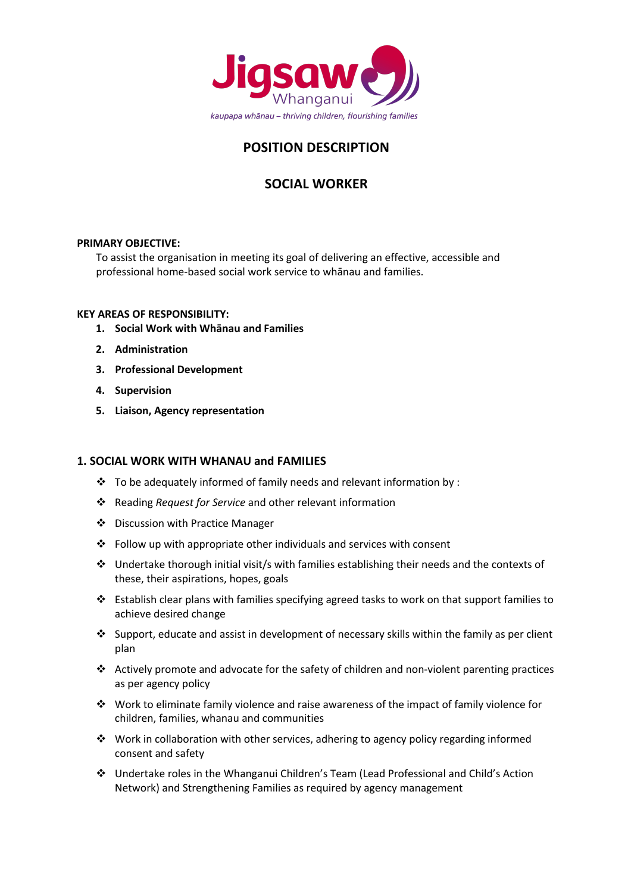

# **POSITION DESCRIPTION**

## **SOCIAL WORKER**

## **PRIMARY OBJECTIVE:**

To assist the organisation in meeting its goal of delivering an effective, accessible and professional home-based social work service to whānau and families.

## **KEY AREAS OF RESPONSIBILITY:**

- **1. Social Work with Whānau and Families**
- **2. Administration**
- **3. Professional Development**
- **4. Supervision**
- **5. Liaison, Agency representation**

## **1. SOCIAL WORK WITH WHANAU and FAMILIES**

- $\cdot \cdot$  To be adequately informed of family needs and relevant information by :
- v Reading *Request for Service* and other relevant information
- ❖ Discussion with Practice Manager
- $\cdot$  Follow up with appropriate other individuals and services with consent
- ◆ Undertake thorough initial visit/s with families establishing their needs and the contexts of these, their aspirations, hopes, goals
- v Establish clear plans with families specifying agreed tasks to work on that support families to achieve desired change
- $\clubsuit$  Support, educate and assist in development of necessary skills within the family as per client plan
- $\div$  Actively promote and advocate for the safety of children and non-violent parenting practices as per agency policy
- $\cdot \cdot$  Work to eliminate family violence and raise awareness of the impact of family violence for children, families, whanau and communities
- $\cdot \cdot$  Work in collaboration with other services, adhering to agency policy regarding informed consent and safety
- v Undertake roles in the Whanganui Children's Team (Lead Professional and Child's Action Network) and Strengthening Families as required by agency management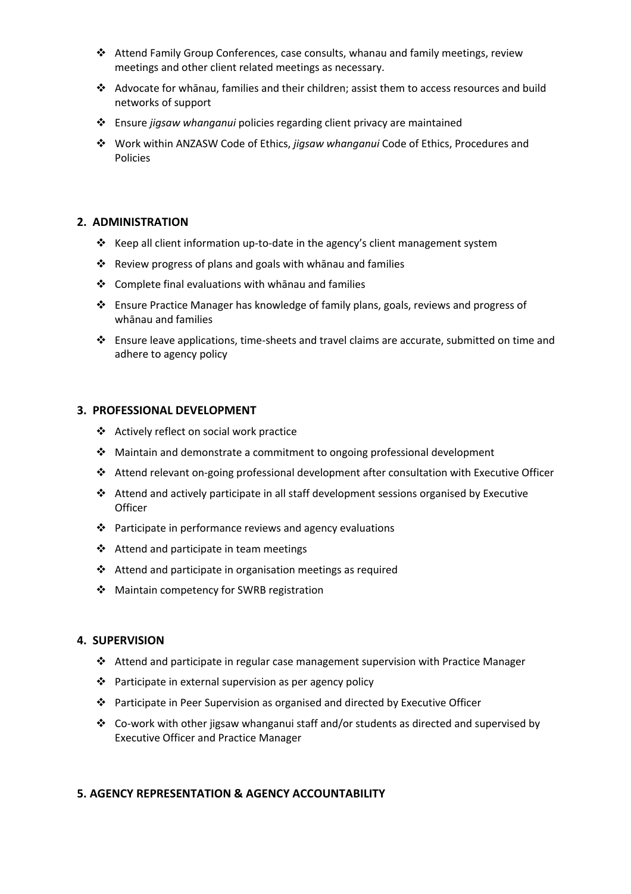- $\div$  Attend Family Group Conferences, case consults, whanau and family meetings, review meetings and other client related meetings as necessary.
- v Advocate for whānau, families and their children; assist them to access resources and build networks of support
- v Ensure *jigsaw whanganui* policies regarding client privacy are maintained
- v Work within ANZASW Code of Ethics, *jigsaw whanganui* Code of Ethics, Procedures and Policies

## **2. ADMINISTRATION**

- \* Keep all client information up-to-date in the agency's client management system
- $\cdot \cdot$  Review progress of plans and goals with whānau and families
- $\div$  Complete final evaluations with whānau and families
- v Ensure Practice Manager has knowledge of family plans, goals, reviews and progress of whānau and families
- $\div$  Ensure leave applications, time-sheets and travel claims are accurate, submitted on time and adhere to agency policy

## **3. PROFESSIONAL DEVELOPMENT**

- ❖ Actively reflect on social work practice
- $\div$  Maintain and demonstrate a commitment to ongoing professional development
- v Attend relevant on-going professional development after consultation with Executive Officer
- $\triangleleft$  Attend and actively participate in all staff development sessions organised by Executive **Officer**
- $\cdot \cdot$  Participate in performance reviews and agency evaluations
- $\triangleleft$  Attend and participate in team meetings
- $\cdot$  Attend and participate in organisation meetings as required
- ❖ Maintain competency for SWRB registration

## **4. SUPERVISION**

- $\cdot$  Attend and participate in regular case management supervision with Practice Manager
- $\cdot \cdot$  Participate in external supervision as per agency policy
- $\div$  Participate in Peer Supervision as organised and directed by Executive Officer
- $\div$  Co-work with other jigsaw whanganui staff and/or students as directed and supervised by Executive Officer and Practice Manager

## **5. AGENCY REPRESENTATION & AGENCY ACCOUNTABILITY**